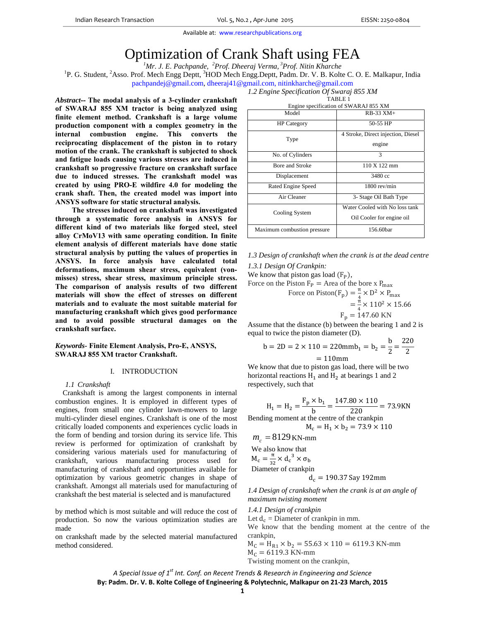# Optimization of Crank Shaft using FEA *<sup>1</sup>*

*Mr. J. E. Pachpande, <sup>2</sup> Prof. Dheeraj Verma, 3Prof. Nitin Kharche*

<sup>1</sup>P. G. Student, <sup>2</sup>Asso. Prof. Mech Engg Deptt, <sup>3</sup>HOD Mech Engg.Deptt, Padm. Dr. V. B. Kolte C. O. E. Malkapur, India pachpandej@gmail.com, dheeraj41@gmail.com, nitinkharche@gmail.com

> *1.2 Engine Specification Of Swaraj 855 XM* TABLE 1

*Abstract***-- The modal analysis of a 3-cylinder crankshaft of SWARAJ 855 XM tractor is being analyzed using finite element method. Crankshaft is a large volume production component with a complex geometry in the internal combustion engine. This converts the reciprocating displacement of the piston in to rotary motion of the crank. The crankshaft is subjected to shock and fatigue loads causing various stresses are induced in crankshaft so progressive fracture on crankshaft surface due to induced stresses. The crankshaft model was created by using PRO-E wildfire 4.0 for modeling the crank shaft. Then, the created model was import into ANSYS software for static structural analysis.** 

**The stresses induced on crankshaft was investigated through a systematic force analysis in ANSYS for different kind of two materials like forged steel, steel alloy CrMoV13 with same operating condition. In finite element analysis of different materials have done static structural analysis by putting the values of properties in ANSYS. In force analysis have calculated total deformations, maximum shear stress, equivalent (vonmisses) stress, shear stress, maximum principle stress. The comparison of analysis results of two different materials will show the effect of stresses on different materials and to evaluate the most suitable material for manufacturing crankshaft which gives good performance and to avoid possible structural damages on the crankshaft surface.** 

## *Keywords-* **Finite Element Analysis, Pro-E, ANSYS, SWARAJ 855 XM tractor Crankshaft.**

## I. INTRODUCTION

#### *1.1 Crankshaft*

Crankshaft is among the largest components in internal combustion engines. It is employed in different types of engines, from small one cylinder lawn-mowers to large multi-cylinder diesel engines. Crankshaft is one of the most critically loaded components and experiences cyclic loads in the form of bending and torsion during its service life. This review is performed for optimization of crankshaft by considering various materials used for manufacturing of crankshaft, various manufacturing process used for manufacturing of crankshaft and opportunities available for optimization by various geometric changes in shape of crankshaft. Amongst all materials used for manufacturing of crankshaft the best material is selected and is manufactured

by method which is most suitable and will reduce the cost of production. So now the various optimization studies are made

on crankshaft made by the selected material manufactured method considered.

| Engine specification of SWARAJ 855 XM |                                    |  |
|---------------------------------------|------------------------------------|--|
| Model                                 | $RB-33$ $XM+$                      |  |
| <b>HP</b> Category                    | 50-55 HP                           |  |
| Type                                  | 4 Stroke, Direct injection, Diesel |  |
|                                       | engine                             |  |
| No. of Cylinders                      |                                    |  |

Bore and Stroke 110 X 122 mm Displacement 3480 cc Rated Engine Speed 1800 rev/min Air Cleaner 3- Stage Oil Bath Type

| 1.3 Design of crankshaft when the crank is at the dead centre |  |
|---------------------------------------------------------------|--|
| 1.3.1 Design Of Crankpin:                                     |  |

Maximum combustion pressure 156.60bar

We know that piston gas load  $(F_P)$ ,

Cooling System

Force on the Piston  $F_P$  = Area of the bore x  $P_{max}$ 

Force on Piston(F<sub>p</sub>) =  $\frac{\pi}{4} \times D^2 \times P_{\text{max}}$ 

$$
=\frac{\pi}{4}\times 110^2\times 15.66
$$

Water Cooled with No loss tank Oil Cooler for engine oil

$$
F_p = 147.60 \text{ KN}
$$

Assume that the distance (b) between the bearing 1 and 2 is equal to twice the piston diameter (D).

$$
b = 2D = 2 \times 110 = 220 \text{mm} \cdot b_1 = b_2 = \frac{b}{2} = \frac{220}{2}
$$

 $= 110$ mm

We know that due to piston gas load, there will be two horizontal reactions  $H_1$  and  $H_2$  at bearings 1 and 2 respectively, such that

$$
H_1 = H_2 = \frac{F_p \times b_1}{b} = \frac{147.80 \times 110}{220} = 73.9 \text{KN}
$$
  
Bending moment at the centre of the crankpin

 $M_c = H_1 \times b_2 = 73.9 \times 110$ 

 $m_c = 8129$  KN-mm

We also know that  
\n
$$
M_c = \frac{\pi}{32} \times d_c^3 \times \sigma_b
$$
\nDiameter of c  
\nbin

 $d_c = 190.37$  Say 192mm

*1.4 Design of crankshaft when the crank is at an angle of maximum twisting moment* 

*1.4.1 Design of crankpin* 

Let  $d_c$  = Diameter of crankpin in mm.

We know that the bending moment at the centre of the crankpin,

 $M_C = H_{R1} \times b_2 = 55.63 \times 110 = 6119.3$  KN-mm  $M_c = 6119.3$  KN-mm

Twisting moment on the crankpin,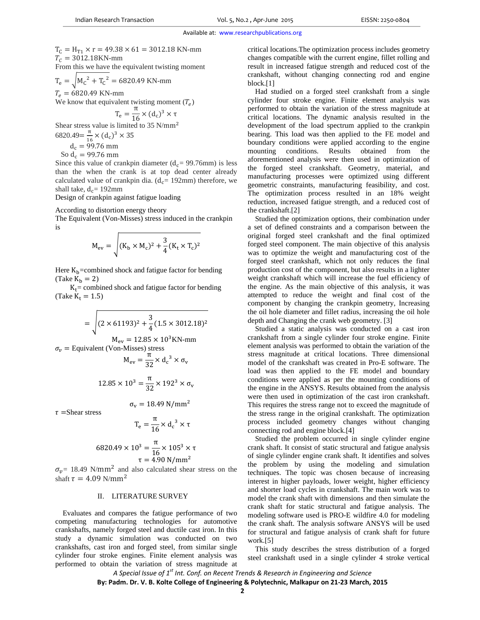$T_C = H_{T1} \times r = 49.38 \times 61 = 3012.18$  KN-mm  $T_c = 3012.18$ KN-mm From this we have the equivalent twisting moment

 $T_e = \sqrt{M_c^2 + T_c^2} = 6820.49 \text{ KN-mm}$  $T_e = 6820.49$  KN-mm We know that equivalent twisting moment  $(T_e)$  $T_e = \frac{\pi}{16} \times (d_c)^3 \times \tau$ 

Shear stress value is limited to 35  $N/mm<sup>2</sup>$  $6820.49 = \frac{\pi}{16} \times (d_c)^3 \times 35$ 

 $d_c = 99.76$  mm So  $d_c = 99.76$  mm

Since this value of crankpin diameter ( $d_c$ = 99.76mm) is less than the when the crank is at top dead center already calculated value of crankpin dia. ( $d_c$ = 192mm) therefore, we shall take,  $d_c = 192$ mm

Design of crankpin against fatigue loading

According to distortion energy theory

The Equivalent (Von-Misses) stress induced in the crankpin is

$$
M_{\rm ev} = \sqrt{(K_{\rm b} \times M_{\rm c})^2 + \frac{3}{4} (K_{\rm t} \times T_{\rm c})^2}
$$

Here  $K_b$ =combined shock and fatigue factor for bending (Take  $K_h = 2$ )

 $K_t$  = combined shock and fatigue factor for bending (Take  $K_t = 1.5$ )

$$
= \sqrt{(2 \times 61193)^2 + \frac{3}{4} (1.5 \times 3012.18)^2}
$$
  
M<sub>ev</sub> = 12.85 × 10<sup>3</sup>KN-mm

 $\sigma_v$  = Equivalent (Von-Misses) stress<br>  $M_{ev} = \frac{\pi}{22} \times d$ 

$$
M_{\rm ev} = \frac{\pi}{32} \times d_{\rm c}^{3} \times \sigma_{\rm v}
$$

$$
12.85 \times 10^{3} = \frac{\pi}{32} \times 192^{3} \times \sigma_{\rm v}
$$

 $\tau$  =Shear stress

$$
T_e = \frac{\pi}{16} \times d_c^{3} \times \tau
$$

 $σ<sub>v</sub> = 18.49 N/mm<sup>2</sup>$ 

$$
6820.49 \times 10^3 = \frac{\pi}{16} \times 105^3 \times \tau
$$
  

$$
\tau = 4.90 \text{ N/mm}^2
$$

 $\sigma_v$ = 18.49 N/mm<sup>2</sup> and also calculated shear stress on the shaft  $\tau = 4.09$  N/mm<sup>2</sup>

#### II. LITERATURE SURVEY

Evaluates and compares the fatigue performance of two competing manufacturing technologies for automotive crankshafts, namely forged steel and ductile cast iron. In this study a dynamic simulation was conducted on two crankshafts, cast iron and forged steel, from similar single cylinder four stroke engines. Finite element analysis was performed to obtain the variation of stress magnitude at critical locations.The optimization process includes geometry changes compatible with the current engine, fillet rolling and result in increased fatigue strength and reduced cost of the crankshaft, without changing connecting rod and engine block.[1]

Had studied on a forged steel crankshaft from a single cylinder four stroke engine. Finite element analysis was performed to obtain the variation of the stress magnitude at critical locations. The dynamic analysis resulted in the development of the load spectrum applied to the crankpin bearing. This load was then applied to the FE model and boundary conditions were applied according to the engine mounting conditions. Results obtained from the aforementioned analysis were then used in optimization of the forged steel crankshaft. Geometry, material, and manufacturing processes were optimized using different geometric constraints, manufacturing feasibility, and cost. The optimization process resulted in an 18% weight reduction, increased fatigue strength, and a reduced cost of the crankshaft.[2]

Studied the optimization options, their combination under a set of defined constraints and a comparison between the original forged steel crankshaft and the final optimized forged steel component. The main objective of this analysis was to optimize the weight and manufacturing cost of the forged steel crankshaft, which not only reduces the final production cost of the component, but also results in a lighter weight crankshaft which will increase the fuel efficiency of the engine. As the main objective of this analysis, it was attempted to reduce the weight and final cost of the component by changing the crankpin geometry, Increasing the oil hole diameter and fillet radius, increasing the oil hole depth and Changing the crank web geometry. [3]

Studied a static analysis was conducted on a cast iron crankshaft from a single cylinder four stroke engine. Finite element analysis was performed to obtain the variation of the stress magnitude at critical locations. Three dimensional model of the crankshaft was created in Pro-E software. The load was then applied to the FE model and boundary conditions were applied as per the mounting conditions of the engine in the ANSYS. Results obtained from the analysis were then used in optimization of the cast iron crankshaft. This requires the stress range not to exceed the magnitude of the stress range in the original crankshaft. The optimization process included geometry changes without changing connecting rod and engine block.[4]

Studied the problem occurred in single cylinder engine crank shaft. It consist of static structural and fatigue analysis of single cylinder engine crank shaft. It identifies and solves the problem by using the modeling and simulation techniques. The topic was chosen because of increasing interest in higher payloads, lower weight, higher efficiency and shorter load cycles in crankshaft. The main work was to model the crank shaft with dimensions and then simulate the crank shaft for static structural and fatigue analysis. The modeling software used is PRO-E wildfire 4.0 for modeling the crank shaft. The analysis software ANSYS will be used for structural and fatigue analysis of crank shaft for future work.[5]

This study describes the stress distribution of a forged steel crankshaft used in a single cylinder 4 stroke vertical

*A Special Issue of 1st Int. Conf. on Recent Trends & Research in Engineering and Science*

**By: Padm. Dr. V. B. Kolte College of Engineering & Polytechnic, Malkapur on 21‐23 March, 2015**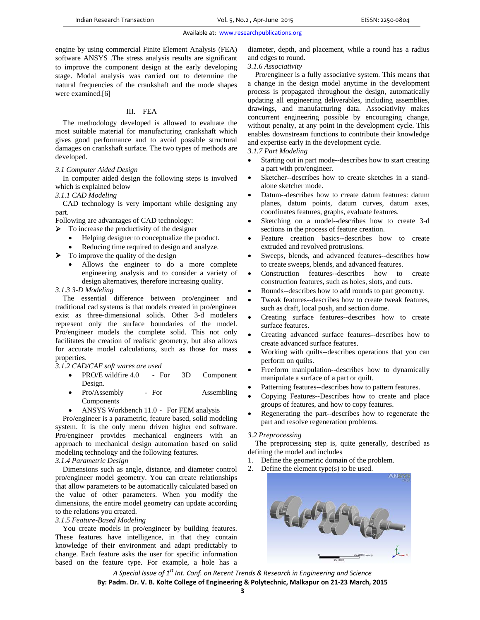engine by using commercial Finite Element Analysis (FEA) software ANSYS .The stress analysis results are significant to improve the component design at the early developing stage. Modal analysis was carried out to determine the natural frequencies of the crankshaft and the mode shapes were examined.[6]

#### III. FEA

The methodology developed is allowed to evaluate the most suitable material for manufacturing crankshaft which gives good performance and to avoid possible structural damages on crankshaft surface. The two types of methods are developed.

#### *3.1 Computer Aided Design*

In computer aided design the following steps is involved which is explained below

#### *3.1.1 CAD Modeling*

CAD technology is very important while designing any part.

Following are advantages of CAD technology:

- $\triangleright$  To increase the productivity of the designer
	- Helping designer to conceptualize the product.
	- Reducing time required to design and analyze.
- $\triangleright$  To improve the quality of the design
	- Allows the engineer to do a more complete engineering analysis and to consider a variety of design alternatives, therefore increasing quality.

## *3.1.3 3-D Modeling*

The essential difference between pro/engineer and traditional cad systems is that models created in pro/engineer exist as three-dimensional solids. Other 3-d modelers represent only the surface boundaries of the model. Pro/engineer models the complete solid. This not only facilitates the creation of realistic geometry, but also allows for accurate model calculations, such as those for mass properties.

#### *3.1.2 CAD/CAE soft wares are used*

- PRO/E wildfire 4.0 For 3D Component Design.
- Pro/Assembly For Assembling Components
- ANSYS Workbench 11.0 For FEM analysis

Pro/engineer is a parametric, feature based, solid modeling system. It is the only menu driven higher end software. Pro/engineer provides mechanical engineers with an approach to mechanical design automation based on solid modeling technology and the following features.

## *3.1.4 Parametric Design*

Dimensions such as angle, distance, and diameter control pro/engineer model geometry. You can create relationships that allow parameters to be automatically calculated based on the value of other parameters. When you modify the dimensions, the entire model geometry can update according to the relations you created.

## *3.1.5 Feature-Based Modeling*

You create models in pro/engineer by building features. These features have intelligence, in that they contain knowledge of their environment and adapt predictably to change. Each feature asks the user for specific information based on the feature type. For example, a hole has a diameter, depth, and placement, while a round has a radius and edges to round.

#### *3.1.6 Associativity*

Pro/engineer is a fully associative system. This means that a change in the design model anytime in the development process is propagated throughout the design, automatically updating all engineering deliverables, including assemblies, drawings, and manufacturing data. Associativity makes concurrent engineering possible by encouraging change, without penalty, at any point in the development cycle. This enables downstream functions to contribute their knowledge and expertise early in the development cycle.

## *3.1.7 Part Modeling*

- Starting out in part mode--describes how to start creating a part with pro/engineer.
- Sketcher--describes how to create sketches in a standalone sketcher mode.
- Datum--describes how to create datum features: datum planes, datum points, datum curves, datum axes, coordinates features, graphs, evaluate features.
- Sketching on a model--describes how to create 3-d sections in the process of feature creation.
- Feature creation basics--describes how to create extruded and revolved protrusions.
- Sweeps, blends, and advanced features--describes how to create sweeps, blends, and advanced features.
- Construction features--describes how to create construction features, such as holes, slots, and cuts.
- Rounds--describes how to add rounds to part geometry.
- Tweak features--describes how to create tweak features, such as draft, local push, and section dome.
- Creating surface features--describes how to create surface features.
- Creating advanced surface features--describes how to create advanced surface features.
- Working with quilts--describes operations that you can perform on quilts.
- Freeform manipulation--describes how to dynamically manipulate a surface of a part or quilt.
- Patterning features--describes how to pattern features.
- Copying Features--Describes how to create and place groups of features, and how to copy features.
- Regenerating the part--describes how to regenerate the part and resolve regeneration problems.

#### *3.2 Preprocessing*

The preprocessing step is, quite generally, described as defining the model and includes

- 1. Define the geometric domain of the problem.
- 2. Define the element type(s) to be used.

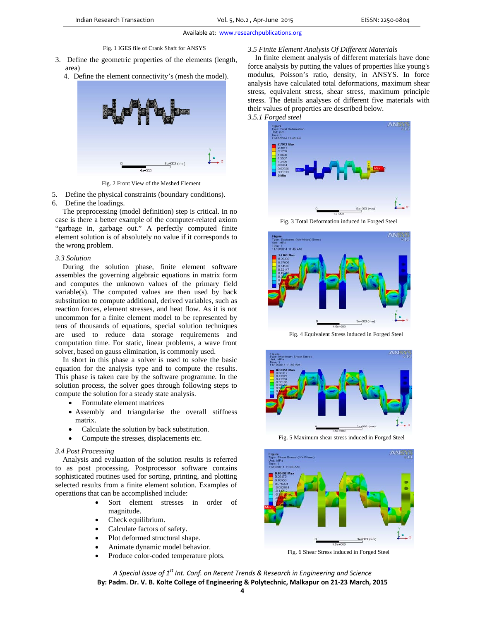Fig. 1 IGES file of Crank Shaft for ANSYS

- 3. Define the geometric properties of the elements (length, area)
	- 4. Define the element connectivity's (mesh the model).



Fig. 2 Front View of the Meshed Element

- 5. Define the physical constraints (boundary conditions).
- 6. Define the loadings.

The preprocessing (model definition) step is critical. In no case is there a better example of the computer-related axiom "garbage in, garbage out." A perfectly computed finite element solution is of absolutely no value if it corresponds to the wrong problem.

#### *3.3 Solution*

During the solution phase, finite element software assembles the governing algebraic equations in matrix form and computes the unknown values of the primary field variable(s). The computed values are then used by back substitution to compute additional, derived variables, such as reaction forces, element stresses, and heat flow. As it is not uncommon for a finite element model to be represented by tens of thousands of equations, special solution techniques are used to reduce data storage requirements and computation time. For static, linear problems, a wave front solver, based on gauss elimination, is commonly used.

In short in this phase a solver is used to solve the basic equation for the analysis type and to compute the results. This phase is taken care by the software programme. In the solution process, the solver goes through following steps to compute the solution for a steady state analysis.

- Formulate element matrices
- Assembly and triangularise the overall stiffness matrix.
- Calculate the solution by back substitution.
- Compute the stresses, displacements etc.

## *3.4 Post Processing*

Analysis and evaluation of the solution results is referred to as post processing. Postprocessor software contains sophisticated routines used for sorting, printing, and plotting selected results from a finite element solution. Examples of operations that can be accomplished include:

- Sort element stresses in order of magnitude.
- Check equilibrium.
- Calculate factors of safety.
- Plot deformed structural shape.
- Animate dynamic model behavior.
- Produce color-coded temperature plots.

#### *3.5 Finite Element Analysis Of Different Materials*

In finite element analysis of different materials have done force analysis by putting the values of properties like young's modulus, Poisson's ratio, density, in ANSYS. In force analysis have calculated total deformations, maximum shear stress, equivalent stress, shear stress, maximum principle stress. The details analyses of different five materials with their values of properties are described below.



Fig. 3 Total Deformation induced in Forged Steel



Fig. 4 Equivalent Stress induced in Forged Steel



Fig. 5 Maximum shear stress induced in Forged Steel



Fig. 6 Shear Stress induced in Forged Steel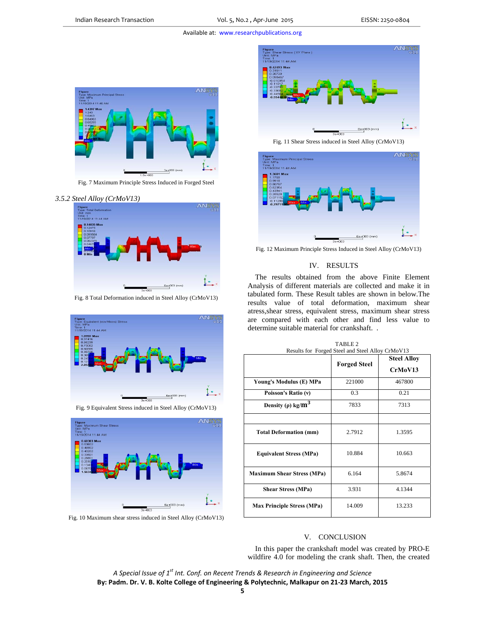Available at: www.researchpublications.org



Fig. 7 Maximum Principle Stress Induced in Forged Steel

## *3.5.2 Steel Alloy (CrMoV13)*



Fig. 8 Total Deformation induced in Steel Alloy (CrMoV13)



Fig. 9 Equivalent Stress induced in Steel Alloy (CrMoV13)



Fig. 10 Maximum shear stress induced in Steel Alloy (CrMoV13)



Fig. 11 Shear Stress induced in Steel Alloy (CrMoV13)



Fig. 12 Maximum Principle Stress Induced in Steel Alloy (CrMoV13)

#### IV. RESULTS

The results obtained from the above Finite Element Analysis of different materials are collected and make it in tabulated form. These Result tables are shown in below.The results value of total deformation, maximum shear atress,shear stress, equivalent stress, maximum shear stress are compared with each other and find less value to determine suitable material for crankshaft. .

| Results for Forged Steel and Steel Alloy CrMoV13 |                     |                    |
|--------------------------------------------------|---------------------|--------------------|
|                                                  | <b>Forged Steel</b> | <b>Steel Alloy</b> |
|                                                  |                     | CrMoV13            |
| Young's Modulus (E) MPa                          | 221000              | 467800             |
| Poisson's Ratio (v)                              | 0.3                 | 0.21               |
| Density ( $\rho$ ) kg/ $m^3$                     | 7833                | 7313               |
|                                                  |                     |                    |
| <b>Total Deformation (mm)</b>                    | 2.7912              | 1.3595             |
| <b>Equivalent Stress (MPa)</b>                   | 10.884              | 10.663             |
| <b>Maximum Shear Stress (MPa)</b>                | 6.164               | 5.8674             |
| <b>Shear Stress (MPa)</b>                        | 3.931               | 4.1344             |
| <b>Max Principle Stress (MPa)</b>                | 14.009              | 13.233             |

TABLE 2

#### V. CONCLUSION

In this paper the crankshaft model was created by PRO-E wildfire 4.0 for modeling the crank shaft. Then, the created